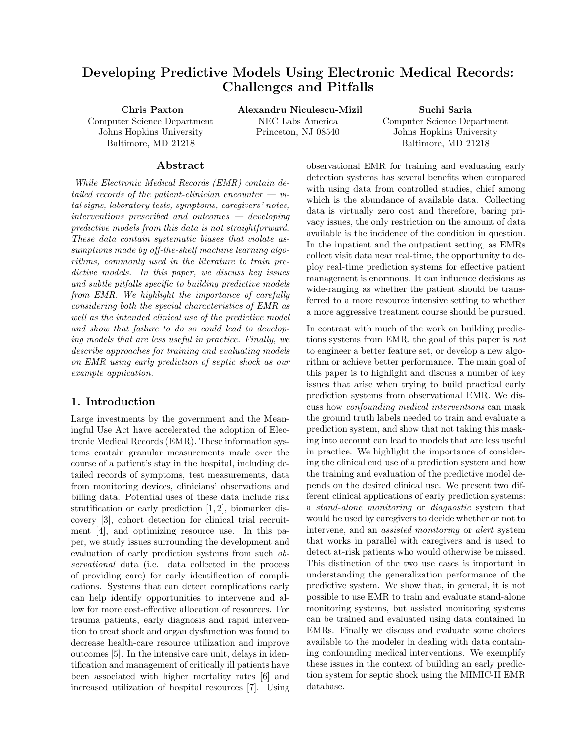# Developing Predictive Models Using Electronic Medical Records: Challenges and Pitfalls

Chris Paxton Computer Science Department Johns Hopkins University Baltimore, MD 21218

Alexandru Niculescu-Mizil

NEC Labs America Princeton, NJ 08540

Suchi Saria Computer Science Department Johns Hopkins University Baltimore, MD 21218

#### Abstract

While Electronic Medical Records (EMR) contain detailed records of the patient-clinician encounter  $-$  vital signs, laboratory tests, symptoms, caregivers' notes, interventions prescribed and outcomes — developing predictive models from this data is not straightforward. These data contain systematic biases that violate assumptions made by off-the-shelf machine learning algorithms, commonly used in the literature to train predictive models. In this paper, we discuss key issues and subtle pitfalls specific to building predictive models from EMR. We highlight the importance of carefully considering both the special characteristics of EMR as well as the intended clinical use of the predictive model and show that failure to do so could lead to developing models that are less useful in practice. Finally, we describe approaches for training and evaluating models on EMR using early prediction of septic shock as our example application.

## 1. Introduction

Large investments by the government and the Meaningful Use Act have accelerated the adoption of Electronic Medical Records (EMR). These information systems contain granular measurements made over the course of a patient's stay in the hospital, including detailed records of symptoms, test measurements, data from monitoring devices, clinicians' observations and billing data. Potential uses of these data include risk stratification or early prediction [1, 2], biomarker discovery [3], cohort detection for clinical trial recruitment [4], and optimizing resource use. In this paper, we study issues surrounding the development and evaluation of early prediction systems from such observational data (i.e. data collected in the process of providing care) for early identification of complications. Systems that can detect complications early can help identify opportunities to intervene and allow for more cost-effective allocation of resources. For trauma patients, early diagnosis and rapid intervention to treat shock and organ dysfunction was found to decrease health-care resource utilization and improve outcomes [5]. In the intensive care unit, delays in identification and management of critically ill patients have been associated with higher mortality rates [6] and increased utilization of hospital resources [7]. Using observational EMR for training and evaluating early detection systems has several benefits when compared with using data from controlled studies, chief among which is the abundance of available data. Collecting data is virtually zero cost and therefore, baring privacy issues, the only restriction on the amount of data available is the incidence of the condition in question. In the inpatient and the outpatient setting, as EMRs collect visit data near real-time, the opportunity to deploy real-time prediction systems for effective patient management is enormous. It can influence decisions as wide-ranging as whether the patient should be transferred to a more resource intensive setting to whether a more aggressive treatment course should be pursued.

In contrast with much of the work on building predictions systems from EMR, the goal of this paper is not to engineer a better feature set, or develop a new algorithm or achieve better performance. The main goal of this paper is to highlight and discuss a number of key issues that arise when trying to build practical early prediction systems from observational EMR. We discuss how confounding medical interventions can mask the ground truth labels needed to train and evaluate a prediction system, and show that not taking this masking into account can lead to models that are less useful in practice. We highlight the importance of considering the clinical end use of a prediction system and how the training and evaluation of the predictive model depends on the desired clinical use. We present two different clinical applications of early prediction systems: a stand-alone monitoring or diagnostic system that would be used by caregivers to decide whether or not to intervene, and an assisted monitoring or alert system that works in parallel with caregivers and is used to detect at-risk patients who would otherwise be missed. This distinction of the two use cases is important in understanding the generalization performance of the predictive system. We show that, in general, it is not possible to use EMR to train and evaluate stand-alone monitoring systems, but assisted monitoring systems can be trained and evaluated using data contained in EMRs. Finally we discuss and evaluate some choices available to the modeler in dealing with data containing confounding medical interventions. We exemplify these issues in the context of building an early prediction system for septic shock using the MIMIC-II EMR database.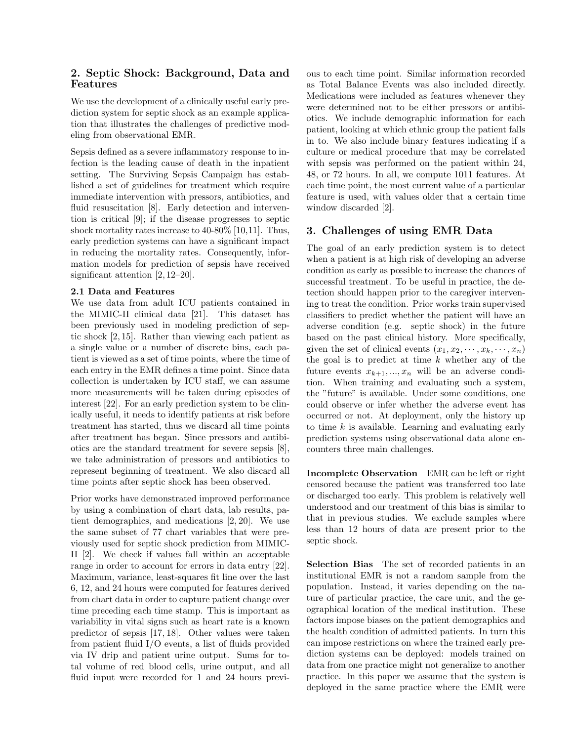# 2. Septic Shock: Background, Data and Features

We use the development of a clinically useful early prediction system for septic shock as an example application that illustrates the challenges of predictive modeling from observational EMR.

Sepsis defined as a severe inflammatory response to infection is the leading cause of death in the inpatient setting. The Surviving Sepsis Campaign has established a set of guidelines for treatment which require immediate intervention with pressors, antibiotics, and fluid resuscitation [8]. Early detection and intervention is critical [9]; if the disease progresses to septic shock mortality rates increase to 40-80% [10,11]. Thus, early prediction systems can have a significant impact in reducing the mortality rates. Consequently, information models for prediction of sepsis have received significant attention [2, 12–20].

#### 2.1 Data and Features

We use data from adult ICU patients contained in the MIMIC-II clinical data [21]. This dataset has been previously used in modeling prediction of septic shock [2, 15]. Rather than viewing each patient as a single value or a number of discrete bins, each patient is viewed as a set of time points, where the time of each entry in the EMR defines a time point. Since data collection is undertaken by ICU staff, we can assume more measurements will be taken during episodes of interest [22]. For an early prediction system to be clinically useful, it needs to identify patients at risk before treatment has started, thus we discard all time points after treatment has began. Since pressors and antibiotics are the standard treatment for severe sepsis [8], we take administration of pressors and antibiotics to represent beginning of treatment. We also discard all time points after septic shock has been observed.

Prior works have demonstrated improved performance by using a combination of chart data, lab results, patient demographics, and medications [2, 20]. We use the same subset of 77 chart variables that were previously used for septic shock prediction from MIMIC-II [2]. We check if values fall within an acceptable range in order to account for errors in data entry [22]. Maximum, variance, least-squares fit line over the last 6, 12, and 24 hours were computed for features derived from chart data in order to capture patient change over time preceding each time stamp. This is important as variability in vital signs such as heart rate is a known predictor of sepsis [17, 18]. Other values were taken from patient fluid I/O events, a list of fluids provided via IV drip and patient urine output. Sums for total volume of red blood cells, urine output, and all fluid input were recorded for 1 and 24 hours previous to each time point. Similar information recorded as Total Balance Events was also included directly. Medications were included as features whenever they were determined not to be either pressors or antibiotics. We include demographic information for each patient, looking at which ethnic group the patient falls in to. We also include binary features indicating if a culture or medical procedure that may be correlated with sepsis was performed on the patient within 24, 48, or 72 hours. In all, we compute 1011 features. At each time point, the most current value of a particular feature is used, with values older that a certain time window discarded [2].

# 3. Challenges of using EMR Data

The goal of an early prediction system is to detect when a patient is at high risk of developing an adverse condition as early as possible to increase the chances of successful treatment. To be useful in practice, the detection should happen prior to the caregiver intervening to treat the condition. Prior works train supervised classifiers to predict whether the patient will have an adverse condition (e.g. septic shock) in the future based on the past clinical history. More specifically, given the set of clinical events  $(x_1, x_2, \dots, x_k, \dots, x_n)$ the goal is to predict at time  $k$  whether any of the future events  $x_{k+1},...,x_n$  will be an adverse condition. When training and evaluating such a system, the "future" is available. Under some conditions, one could observe or infer whether the adverse event has occurred or not. At deployment, only the history up to time  $k$  is available. Learning and evaluating early prediction systems using observational data alone encounters three main challenges.

Incomplete Observation EMR can be left or right censored because the patient was transferred too late or discharged too early. This problem is relatively well understood and our treatment of this bias is similar to that in previous studies. We exclude samples where less than 12 hours of data are present prior to the septic shock.

Selection Bias The set of recorded patients in an institutional EMR is not a random sample from the population. Instead, it varies depending on the nature of particular practice, the care unit, and the geographical location of the medical institution. These factors impose biases on the patient demographics and the health condition of admitted patients. In turn this can impose restrictions on where the trained early prediction systems can be deployed: models trained on data from one practice might not generalize to another practice. In this paper we assume that the system is deployed in the same practice where the EMR were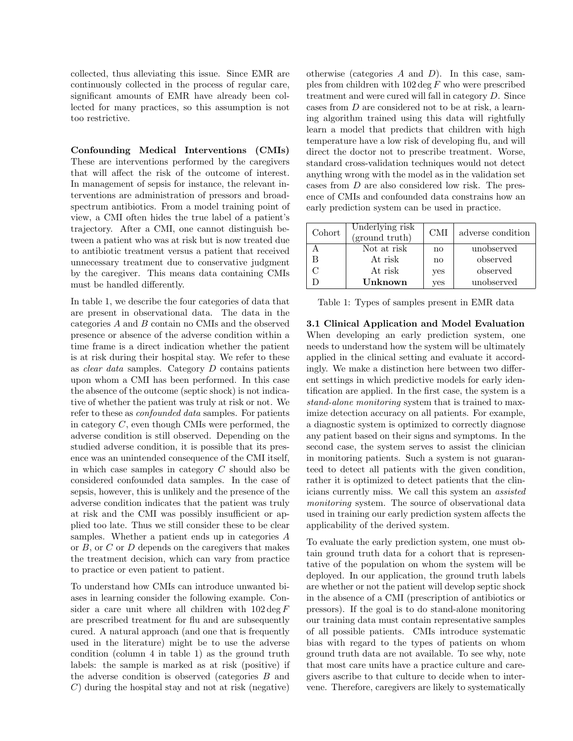collected, thus alleviating this issue. Since EMR are continuously collected in the process of regular care, significant amounts of EMR have already been collected for many practices, so this assumption is not too restrictive.

Confounding Medical Interventions (CMIs) These are interventions performed by the caregivers that will affect the risk of the outcome of interest. In management of sepsis for instance, the relevant interventions are administration of pressors and broadspectrum antibiotics. From a model training point of view, a CMI often hides the true label of a patient's trajectory. After a CMI, one cannot distinguish between a patient who was at risk but is now treated due to antibiotic treatment versus a patient that received unnecessary treatment due to conservative judgment by the caregiver. This means data containing CMIs must be handled differently.

In table 1, we describe the four categories of data that are present in observational data. The data in the categories A and B contain no CMIs and the observed presence or absence of the adverse condition within a time frame is a direct indication whether the patient is at risk during their hospital stay. We refer to these as clear data samples. Category D contains patients upon whom a CMI has been performed. In this case the absence of the outcome (septic shock) is not indicative of whether the patient was truly at risk or not. We refer to these as confounded data samples. For patients in category C, even though CMIs were performed, the adverse condition is still observed. Depending on the studied adverse condition, it is possible that its presence was an unintended consequence of the CMI itself, in which case samples in category C should also be considered confounded data samples. In the case of sepsis, however, this is unlikely and the presence of the adverse condition indicates that the patient was truly at risk and the CMI was possibly insufficient or applied too late. Thus we still consider these to be clear samples. Whether a patient ends up in categories A or B, or C or D depends on the caregivers that makes the treatment decision, which can vary from practice to practice or even patient to patient.

To understand how CMIs can introduce unwanted biases in learning consider the following example. Consider a care unit where all children with  $102 \deg F$ are prescribed treatment for flu and are subsequently cured. A natural approach (and one that is frequently used in the literature) might be to use the adverse condition (column 4 in table 1) as the ground truth labels: the sample is marked as at risk (positive) if the adverse condition is observed (categories B and C) during the hospital stay and not at risk (negative)

otherwise (categories  $A$  and  $D$ ). In this case, samples from children with  $102 \deg F$  who were prescribed treatment and were cured will fall in category D. Since cases from D are considered not to be at risk, a learning algorithm trained using this data will rightfully learn a model that predicts that children with high temperature have a low risk of developing flu, and will direct the doctor not to prescribe treatment. Worse, standard cross-validation techniques would not detect anything wrong with the model as in the validation set cases from D are also considered low risk. The presence of CMIs and confounded data constrains how an early prediction system can be used in practice.

| Cohort | Underlying risk<br>(ground truth) | <b>CMI</b>             | adverse condition |
|--------|-----------------------------------|------------------------|-------------------|
|        | Not at risk                       | $\mathbf{n}\mathbf{o}$ | unobserved        |
| R      | At risk                           | $\mathbf{n}\mathbf{o}$ | observed          |
|        | At risk                           | yes                    | observed          |
|        | Unknown                           | <b>ves</b>             | unobserved        |

Table 1: Types of samples present in EMR data

3.1 Clinical Application and Model Evaluation When developing an early prediction system, one needs to understand how the system will be ultimately applied in the clinical setting and evaluate it accordingly. We make a distinction here between two different settings in which predictive models for early identification are applied. In the first case, the system is a stand-alone monitoring system that is trained to maximize detection accuracy on all patients. For example, a diagnostic system is optimized to correctly diagnose any patient based on their signs and symptoms. In the second case, the system serves to assist the clinician in monitoring patients. Such a system is not guaranteed to detect all patients with the given condition, rather it is optimized to detect patients that the clinicians currently miss. We call this system an assisted monitoring system. The source of observational data used in training our early prediction system affects the applicability of the derived system.

To evaluate the early prediction system, one must obtain ground truth data for a cohort that is representative of the population on whom the system will be deployed. In our application, the ground truth labels are whether or not the patient will develop septic shock in the absence of a CMI (prescription of antibiotics or pressors). If the goal is to do stand-alone monitoring our training data must contain representative samples of all possible patients. CMIs introduce systematic bias with regard to the types of patients on whom ground truth data are not available. To see why, note that most care units have a practice culture and caregivers ascribe to that culture to decide when to intervene. Therefore, caregivers are likely to systematically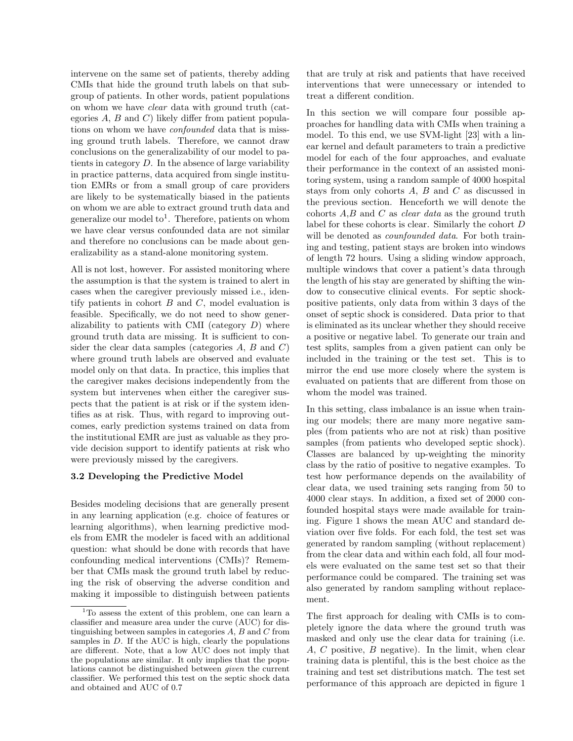intervene on the same set of patients, thereby adding CMIs that hide the ground truth labels on that subgroup of patients. In other words, patient populations on whom we have clear data with ground truth (categories  $A, B$  and  $C$ ) likely differ from patient populations on whom we have confounded data that is missing ground truth labels. Therefore, we cannot draw conclusions on the generalizability of our model to patients in category D. In the absence of large variability in practice patterns, data acquired from single institution EMRs or from a small group of care providers are likely to be systematically biased in the patients on whom we are able to extract ground truth data and generalize our model to<sup>1</sup>. Therefore, patients on whom we have clear versus confounded data are not similar and therefore no conclusions can be made about generalizability as a stand-alone monitoring system.

All is not lost, however. For assisted monitoring where the assumption is that the system is trained to alert in cases when the caregiver previously missed i.e., identify patients in cohort  $B$  and  $C$ , model evaluation is feasible. Specifically, we do not need to show generalizability to patients with CMI (category  $D$ ) where ground truth data are missing. It is sufficient to consider the clear data samples (categories  $A, B$  and  $C$ ) where ground truth labels are observed and evaluate model only on that data. In practice, this implies that the caregiver makes decisions independently from the system but intervenes when either the caregiver suspects that the patient is at risk or if the system identifies as at risk. Thus, with regard to improving outcomes, early prediction systems trained on data from the institutional EMR are just as valuable as they provide decision support to identify patients at risk who were previously missed by the caregivers.

#### 3.2 Developing the Predictive Model

Besides modeling decisions that are generally present in any learning application (e.g. choice of features or learning algorithms), when learning predictive models from EMR the modeler is faced with an additional question: what should be done with records that have confounding medical interventions (CMIs)? Remember that CMIs mask the ground truth label by reducing the risk of observing the adverse condition and making it impossible to distinguish between patients that are truly at risk and patients that have received interventions that were unnecessary or intended to treat a different condition.

In this section we will compare four possible approaches for handling data with CMIs when training a model. To this end, we use SVM-light [23] with a linear kernel and default parameters to train a predictive model for each of the four approaches, and evaluate their performance in the context of an assisted monitoring system, using a random sample of 4000 hospital stays from only cohorts A, B and C as discussed in the previous section. Henceforth we will denote the cohorts  $A,B$  and  $C$  as *clear data* as the ground truth label for these cohorts is clear. Similarly the cohort D will be denoted as *counfounded data*. For both training and testing, patient stays are broken into windows of length 72 hours. Using a sliding window approach, multiple windows that cover a patient's data through the length of his stay are generated by shifting the window to consecutive clinical events. For septic shockpositive patients, only data from within 3 days of the onset of septic shock is considered. Data prior to that is eliminated as its unclear whether they should receive a positive or negative label. To generate our train and test splits, samples from a given patient can only be included in the training or the test set. This is to mirror the end use more closely where the system is evaluated on patients that are different from those on whom the model was trained.

In this setting, class imbalance is an issue when training our models; there are many more negative samples (from patients who are not at risk) than positive samples (from patients who developed septic shock). Classes are balanced by up-weighting the minority class by the ratio of positive to negative examples. To test how performance depends on the availability of clear data, we used training sets ranging from 50 to 4000 clear stays. In addition, a fixed set of 2000 confounded hospital stays were made available for training. Figure 1 shows the mean AUC and standard deviation over five folds. For each fold, the test set was generated by random sampling (without replacement) from the clear data and within each fold, all four models were evaluated on the same test set so that their performance could be compared. The training set was also generated by random sampling without replacement.

The first approach for dealing with CMIs is to completely ignore the data where the ground truth was masked and only use the clear data for training (i.e. A, C positive, B negative). In the limit, when clear training data is plentiful, this is the best choice as the training and test set distributions match. The test set performance of this approach are depicted in figure 1

<sup>&</sup>lt;sup>1</sup>To assess the extent of this problem, one can learn a classifier and measure area under the curve (AUC) for distinguishing between samples in categories  $A, B$  and  $C$  from samples in  $D$ . If the AUC is high, clearly the populations are different. Note, that a low AUC does not imply that the populations are similar. It only implies that the populations cannot be distinguished between given the current classifier. We performed this test on the septic shock data and obtained and AUC of 0.7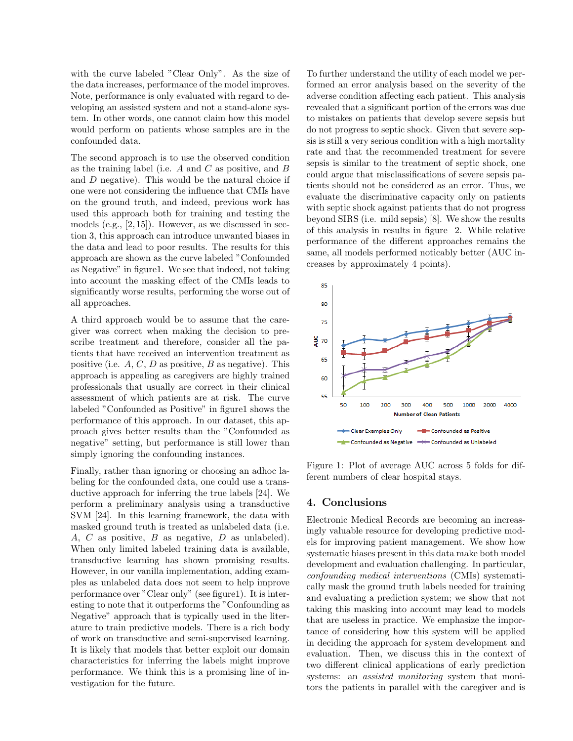with the curve labeled "Clear Only". As the size of the data increases, performance of the model improves. Note, performance is only evaluated with regard to developing an assisted system and not a stand-alone system. In other words, one cannot claim how this model would perform on patients whose samples are in the confounded data.

The second approach is to use the observed condition as the training label (i.e.  $A$  and  $C$  as positive, and  $B$ and D negative). This would be the natural choice if one were not considering the influence that CMIs have on the ground truth, and indeed, previous work has used this approach both for training and testing the models (e.g.,  $[2, 15]$ ). However, as we discussed in section 3, this approach can introduce unwanted biases in the data and lead to poor results. The results for this approach are shown as the curve labeled "Confounded as Negative" in figure1. We see that indeed, not taking into account the masking effect of the CMIs leads to significantly worse results, performing the worse out of all approaches.

A third approach would be to assume that the caregiver was correct when making the decision to prescribe treatment and therefore, consider all the patients that have received an intervention treatment as positive (i.e.  $A, C, D$  as positive,  $B$  as negative). This approach is appealing as caregivers are highly trained professionals that usually are correct in their clinical assessment of which patients are at risk. The curve labeled "Confounded as Positive" in figure1 shows the performance of this approach. In our dataset, this approach gives better results than the "Confounded as negative" setting, but performance is still lower than simply ignoring the confounding instances.

Finally, rather than ignoring or choosing an adhoc labeling for the confounded data, one could use a transductive approach for inferring the true labels [24]. We perform a preliminary analysis using a transductive SVM [24]. In this learning framework, the data with masked ground truth is treated as unlabeled data (i.e. A, C as positive, B as negative, D as unlabeled). When only limited labeled training data is available, transductive learning has shown promising results. However, in our vanilla implementation, adding examples as unlabeled data does not seem to help improve performance over "Clear only" (see figure1). It is interesting to note that it outperforms the "Confounding as Negative" approach that is typically used in the literature to train predictive models. There is a rich body of work on transductive and semi-supervised learning. It is likely that models that better exploit our domain characteristics for inferring the labels might improve performance. We think this is a promising line of investigation for the future.

To further understand the utility of each model we performed an error analysis based on the severity of the adverse condition affecting each patient. This analysis revealed that a significant portion of the errors was due to mistakes on patients that develop severe sepsis but do not progress to septic shock. Given that severe sepsis is still a very serious condition with a high mortality rate and that the recommended treatment for severe sepsis is similar to the treatment of septic shock, one could argue that misclassifications of severe sepsis patients should not be considered as an error. Thus, we evaluate the discriminative capacity only on patients with septic shock against patients that do not progress beyond SIRS (i.e. mild sepsis) [8]. We show the results of this analysis in results in figure 2. While relative performance of the different approaches remains the same, all models performed noticably better (AUC increases by approximately 4 points).



Figure 1: Plot of average AUC across 5 folds for different numbers of clear hospital stays.

## 4. Conclusions

Electronic Medical Records are becoming an increasingly valuable resource for developing predictive models for improving patient management. We show how systematic biases present in this data make both model development and evaluation challenging. In particular, confounding medical interventions (CMIs) systematically mask the ground truth labels needed for training and evaluating a prediction system; we show that not taking this masking into account may lead to models that are useless in practice. We emphasize the importance of considering how this system will be applied in deciding the approach for system development and evaluation. Then, we discuss this in the context of two different clinical applications of early prediction systems: an *assisted monitoring* system that monitors the patients in parallel with the caregiver and is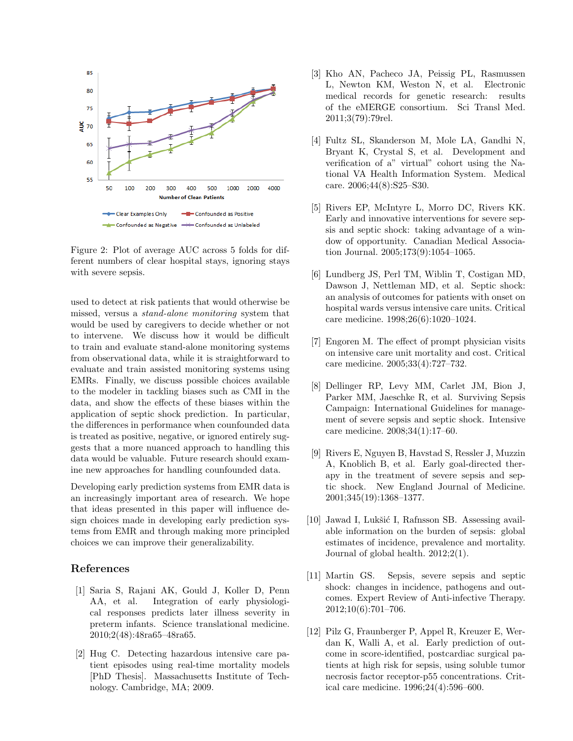

Figure 2: Plot of average AUC across 5 folds for different numbers of clear hospital stays, ignoring stays with severe sepsis.

used to detect at risk patients that would otherwise be missed, versus a stand-alone monitoring system that would be used by caregivers to decide whether or not to intervene. We discuss how it would be difficult to train and evaluate stand-alone monitoring systems from observational data, while it is straightforward to evaluate and train assisted monitoring systems using EMRs. Finally, we discuss possible choices available to the modeler in tackling biases such as CMI in the data, and show the effects of these biases within the application of septic shock prediction. In particular, the differences in performance when counfounded data is treated as positive, negative, or ignored entirely suggests that a more nuanced approach to handling this data would be valuable. Future research should examine new approaches for handling counfounded data.

Developing early prediction systems from EMR data is an increasingly important area of research. We hope that ideas presented in this paper will influence design choices made in developing early prediction systems from EMR and through making more principled choices we can improve their generalizability.

# References

- [1] Saria S, Rajani AK, Gould J, Koller D, Penn AA, et al. Integration of early physiological responses predicts later illness severity in preterm infants. Science translational medicine. 2010;2(48):48ra65–48ra65.
- [2] Hug C. Detecting hazardous intensive care patient episodes using real-time mortality models [PhD Thesis]. Massachusetts Institute of Technology. Cambridge, MA; 2009.
- [3] Kho AN, Pacheco JA, Peissig PL, Rasmussen L, Newton KM, Weston N, et al. Electronic medical records for genetic research: results of the eMERGE consortium. Sci Transl Med. 2011;3(79):79rel.
- [4] Fultz SL, Skanderson M, Mole LA, Gandhi N, Bryant K, Crystal S, et al. Development and verification of a" virtual" cohort using the National VA Health Information System. Medical care. 2006;44(8):S25–S30.
- [5] Rivers EP, McIntyre L, Morro DC, Rivers KK. Early and innovative interventions for severe sepsis and septic shock: taking advantage of a window of opportunity. Canadian Medical Association Journal. 2005;173(9):1054–1065.
- [6] Lundberg JS, Perl TM, Wiblin T, Costigan MD, Dawson J, Nettleman MD, et al. Septic shock: an analysis of outcomes for patients with onset on hospital wards versus intensive care units. Critical care medicine. 1998;26(6):1020–1024.
- [7] Engoren M. The effect of prompt physician visits on intensive care unit mortality and cost. Critical care medicine. 2005;33(4):727–732.
- [8] Dellinger RP, Levy MM, Carlet JM, Bion J, Parker MM, Jaeschke R, et al. Surviving Sepsis Campaign: International Guidelines for management of severe sepsis and septic shock. Intensive care medicine. 2008;34(1):17–60.
- [9] Rivers E, Nguyen B, Havstad S, Ressler J, Muzzin A, Knoblich B, et al. Early goal-directed therapy in the treatment of severe sepsis and septic shock. New England Journal of Medicine. 2001;345(19):1368–1377.
- [10] Jawad I, Lukšić I, Rafnsson SB. Assessing available information on the burden of sepsis: global estimates of incidence, prevalence and mortality. Journal of global health. 2012;2(1).
- [11] Martin GS. Sepsis, severe sepsis and septic shock: changes in incidence, pathogens and outcomes. Expert Review of Anti-infective Therapy. 2012;10(6):701–706.
- [12] Pilz G, Fraunberger P, Appel R, Kreuzer E, Werdan K, Walli A, et al. Early prediction of outcome in score-identified, postcardiac surgical patients at high risk for sepsis, using soluble tumor necrosis factor receptor-p55 concentrations. Critical care medicine. 1996;24(4):596–600.